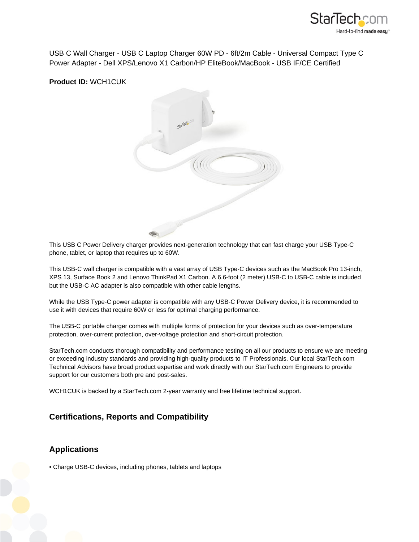

USB C Wall Charger - USB C Laptop Charger 60W PD - 6ft/2m Cable - Universal Compact Type C Power Adapter - Dell XPS/Lenovo X1 Carbon/HP EliteBook/MacBook - USB IF/CE Certified

**Product ID:** WCH1CUK



This USB C Power Delivery charger provides next-generation technology that can fast charge your USB Type-C phone, tablet, or laptop that requires up to 60W.

This USB-C wall charger is compatible with a vast array of USB Type-C devices such as the MacBook Pro 13-inch, XPS 13, Surface Book 2 and Lenovo ThinkPad X1 Carbon. A 6.6-foot (2 meter) USB-C to USB-C cable is included but the USB-C AC adapter is also compatible with other cable lengths.

While the USB Type-C power adapter is compatible with any USB-C Power Delivery device, it is recommended to use it with devices that require 60W or less for optimal charging performance.

The USB-C portable charger comes with multiple forms of protection for your devices such as over-temperature protection, over-current protection, over-voltage protection and short-circuit protection.

StarTech.com conducts thorough compatibility and performance testing on all our products to ensure we are meeting or exceeding industry standards and providing high-quality products to IT Professionals. Our local StarTech.com Technical Advisors have broad product expertise and work directly with our StarTech.com Engineers to provide support for our customers both pre and post-sales.

WCH1CUK is backed by a StarTech.com 2-year warranty and free lifetime technical support.

## **Certifications, Reports and Compatibility**

## **Applications**

• Charge USB-C devices, including phones, tablets and laptops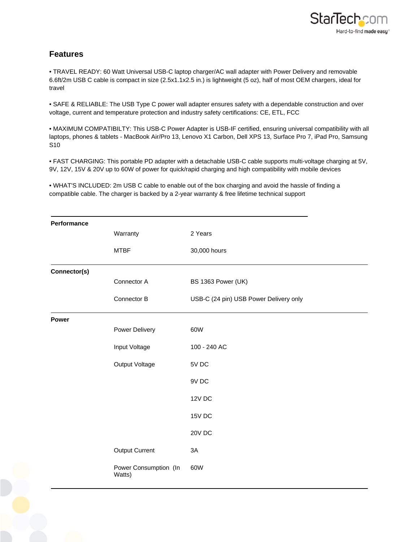

## **Features**

• TRAVEL READY: 60 Watt Universal USB-C laptop charger/AC wall adapter with Power Delivery and removable 6.6ft/2m USB C cable is compact in size (2.5x1.1x2.5 in.) is lightweight (5 oz), half of most OEM chargers, ideal for travel

• SAFE & RELIABLE: The USB Type C power wall adapter ensures safety with a dependable construction and over voltage, current and temperature protection and industry safety certifications: CE, ETL, FCC

• MAXIMUM COMPATIBILTY: This USB-C Power Adapter is USB-IF certified, ensuring universal compatibility with all laptops, phones & tablets - MacBook Air/Pro 13, Lenovo X1 Carbon, Dell XPS 13, Surface Pro 7, iPad Pro, Samsung S10

• FAST CHARGING: This portable PD adapter with a detachable USB-C cable supports multi-voltage charging at 5V, 9V, 12V, 15V & 20V up to 60W of power for quick/rapid charging and high compatibility with mobile devices

• WHAT'S INCLUDED: 2m USB C cable to enable out of the box charging and avoid the hassle of finding a compatible cable. The charger is backed by a 2-year warranty & free lifetime technical support

| Performance  |                                 |                                        |
|--------------|---------------------------------|----------------------------------------|
|              | Warranty                        | 2 Years                                |
|              | <b>MTBF</b>                     | 30,000 hours                           |
| Connector(s) |                                 |                                        |
|              | Connector A                     | BS 1363 Power (UK)                     |
|              | Connector B                     | USB-C (24 pin) USB Power Delivery only |
| Power        |                                 |                                        |
|              | Power Delivery                  | 60W                                    |
|              | Input Voltage                   | 100 - 240 AC                           |
|              | Output Voltage                  | 5V DC                                  |
|              |                                 | 9V DC                                  |
|              |                                 | 12V DC                                 |
|              |                                 | 15V DC                                 |
|              |                                 | 20V DC                                 |
|              | Output Current                  | 3A                                     |
|              | Power Consumption (In<br>Watts) | 60W                                    |